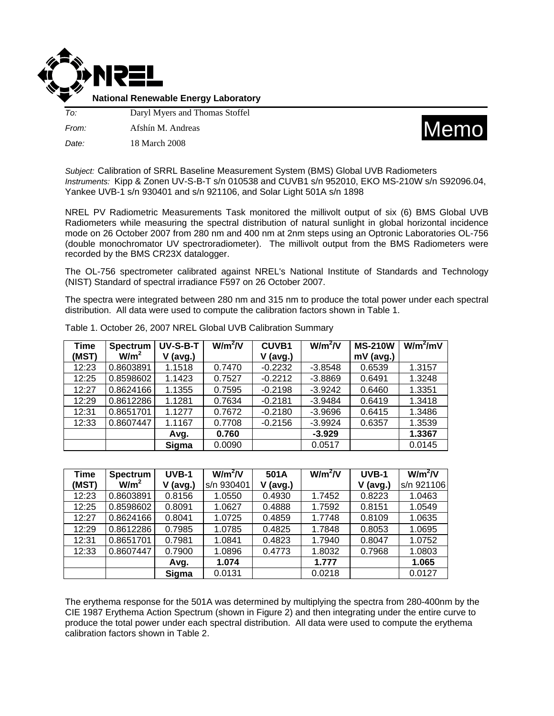

**National Renewable Energy Laboratory**

*To:* Daryl Myers and Thomas Stoffel *From:* Afshín M. Andreas





*Subject:* Calibration of SRRL Baseline Measurement System (BMS) Global UVB Radiometers *Instruments:* Kipp & Zonen UV-S-B-T s/n 010538 and CUVB1 s/n 952010, EKO MS-210W s/n S92096.04, Yankee UVB-1 s/n 930401 and s/n 921106, and Solar Light 501A s/n 1898

NREL PV Radiometric Measurements Task monitored the millivolt output of six (6) BMS Global UVB Radiometers while measuring the spectral distribution of natural sunlight in global horizontal incidence mode on 26 October 2007 from 280 nm and 400 nm at 2nm steps using an Optronic Laboratories OL-756 (double monochromator UV spectroradiometer). The millivolt output from the BMS Radiometers were recorded by the BMS CR23X datalogger.

The OL-756 spectrometer calibrated against NREL's National Institute of Standards and Technology (NIST) Standard of spectral irradiance F597 on 26 October 2007.

The spectra were integrated between 280 nm and 315 nm to produce the total power under each spectral distribution. All data were used to compute the calibration factors shown in Table 1.

| <b>Time</b> | <b>Spectrum</b>  | UV-S-B-T | $W/m^2/V$ | <b>CUVB1</b> | $W/m^2/V$ | <b>MS-210W</b> | $W/m^2/mV$ |
|-------------|------------------|----------|-----------|--------------|-----------|----------------|------------|
| (MST)       | W/m <sup>2</sup> | (avg.)   |           | $V$ (avg.)   |           | $mV$ (avg.)    |            |
| 12:23       | 0.8603891        | 1.1518   | 0.7470    | $-0.2232$    | $-3.8548$ | 0.6539         | 1.3157     |
| 12:25       | 0.8598602        | 1.1423   | 0.7527    | $-0.2212$    | $-3.8869$ | 0.6491         | 1.3248     |
| 12:27       | 0.8624166        | 1.1355   | 0.7595    | $-0.2198$    | $-3.9242$ | 0.6460         | 1.3351     |
| 12:29       | 0.8612286        | 1.1281   | 0.7634    | $-0.2181$    | $-3.9484$ | 0.6419         | 1.3418     |
| 12:31       | 0.8651701        | 1.1277   | 0.7672    | $-0.2180$    | $-3.9696$ | 0.6415         | 1.3486     |
| 12:33       | 0.8607447        | 1.1167   | 0.7708    | $-0.2156$    | $-3.9924$ | 0.6357         | 1.3539     |
|             |                  | Avg.     | 0.760     |              | $-3.929$  |                | 1.3367     |
|             |                  | Sigma    | 0.0090    |              | 0.0517    |                | 0.0145     |

Table 1. October 26, 2007 NREL Global UVB Calibration Summary

| <b>Time</b> | <b>Spectrum</b>  | $UVB-1$    | $W/m^2/V$  | 501A       | $W/m^2/V$ | $UVB-1$    | $W/m^2/V$  |
|-------------|------------------|------------|------------|------------|-----------|------------|------------|
| (MST)       | W/m <sup>2</sup> | $V$ (avg.) | s/n 930401 | $V$ (avg.) |           | $V$ (avg.) | s/n 921106 |
| 12:23       | 0.8603891        | 0.8156     | 1.0550     | 0.4930     | 1.7452    | 0.8223     | 1.0463     |
| 12:25       | 0.8598602        | 0.8091     | 1.0627     | 0.4888     | 1.7592    | 0.8151     | 1.0549     |
| 12:27       | 0.8624166        | 0.8041     | 1.0725     | 0.4859     | 1.7748    | 0.8109     | 1.0635     |
| 12:29       | 0.8612286        | 0.7985     | 1.0785     | 0.4825     | 1.7848    | 0.8053     | 1.0695     |
| 12:31       | 0.8651701        | 0.7981     | 1.0841     | 0.4823     | 1.7940    | 0.8047     | 1.0752     |
| 12:33       | 0.8607447        | 0.7900     | 1.0896     | 0.4773     | 1.8032    | 0.7968     | 1.0803     |
|             |                  | Avg.       | 1.074      |            | 1.777     |            | 1.065      |
|             |                  | Sigma      | 0.0131     |            | 0.0218    |            | 0.0127     |

The erythema response for the 501A was determined by multiplying the spectra from 280-400nm by the CIE 1987 Erythema Action Spectrum (shown in Figure 2) and then integrating under the entire curve to produce the total power under each spectral distribution. All data were used to compute the erythema calibration factors shown in Table 2.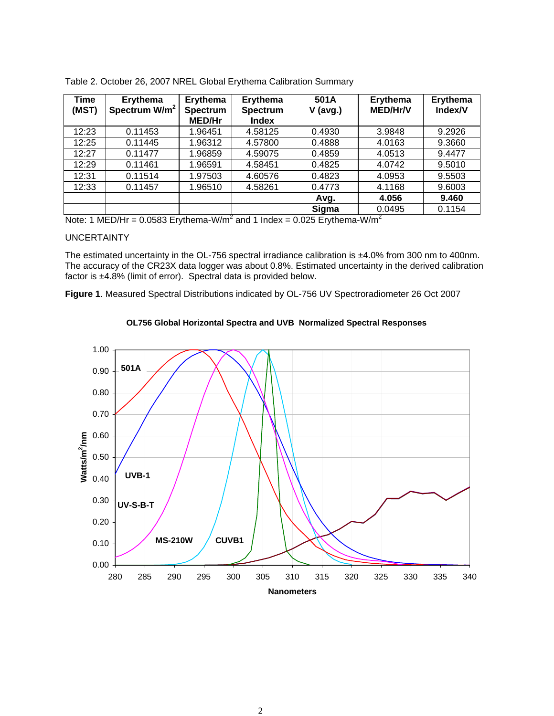| Time<br>(MST) | <b>Erythema</b><br>Spectrum W/m <sup>2</sup> | Erythema<br><b>Spectrum</b><br><b>MED/Hr</b> | Erythema<br><b>Spectrum</b><br><b>Index</b> | 501A<br>$V$ (avg.) | Erythema<br><b>MED/Hr/V</b> | <b>Erythema</b><br>Index/V |
|---------------|----------------------------------------------|----------------------------------------------|---------------------------------------------|--------------------|-----------------------------|----------------------------|
| 12:23         | 0.11453                                      | 1.96451                                      | 4.58125                                     | 0.4930             | 3.9848                      | 9.2926                     |
| 12:25         | 0.11445                                      | 1.96312                                      | 4.57800                                     | 0.4888             | 4.0163                      | 9.3660                     |
| 12:27         | 0.11477                                      | 1.96859                                      | 4.59075                                     | 0.4859             | 4.0513                      | 9.4477                     |
| 12:29         | 0.11461                                      | 1.96591                                      | 4.58451                                     | 0.4825             | 4.0742                      | 9.5010                     |
| 12:31         | 0.11514                                      | 1.97503                                      | 4.60576                                     | 0.4823             | 4.0953                      | 9.5503                     |
| 12:33         | 0.11457                                      | 1.96510                                      | 4.58261                                     | 0.4773             | 4.1168                      | 9.6003                     |
|               |                                              |                                              |                                             | Avg.               | 4.056                       | 9.460                      |
|               |                                              |                                              |                                             | Sigma              | 0.0495                      | 0.1154                     |

Table 2. October 26, 2007 NREL Global Erythema Calibration Summary

Note: 1 MED/Hr = 0.0583 Erythema-W/m<sup>2</sup> and 1 Index = 0.025 Erythema-W/m<sup>2</sup>

## UNCERTAINTY

The estimated uncertainty in the OL-756 spectral irradiance calibration is ±4.0% from 300 nm to 400nm. The accuracy of the CR23X data logger was about 0.8%. Estimated uncertainty in the derived calibration factor is ±4.8% (limit of error). Spectral data is provided below.

**Figure 1**. Measured Spectral Distributions indicated by OL-756 UV Spectroradiometer 26 Oct 2007



## **OL756 Global Horizontal Spectra and UVB Normalized Spectral Responses**